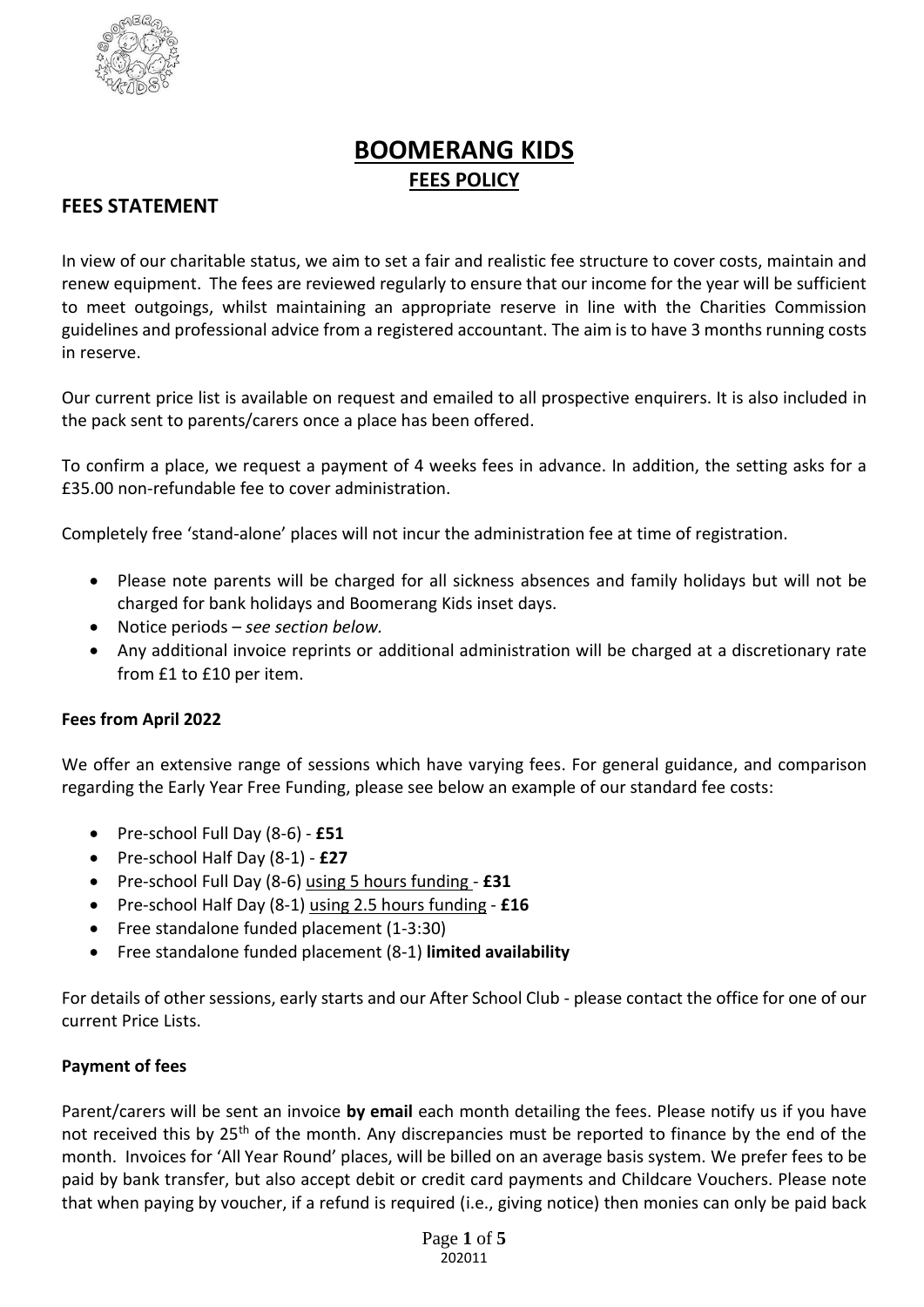

# **BOOMERANG KIDS FEES POLICY**

# **FEES STATEMENT**

In view of our charitable status, we aim to set a fair and realistic fee structure to cover costs, maintain and renew equipment. The fees are reviewed regularly to ensure that our income for the year will be sufficient to meet outgoings, whilst maintaining an appropriate reserve in line with the Charities Commission guidelines and professional advice from a registered accountant. The aim is to have 3 months running costs in reserve.

Our current price list is available on request and emailed to all prospective enquirers. It is also included in the pack sent to parents/carers once a place has been offered.

To confirm a place, we request a payment of 4 weeks fees in advance. In addition, the setting asks for a £35.00 non-refundable fee to cover administration.

Completely free 'stand-alone' places will not incur the administration fee at time of registration.

- Please note parents will be charged for all sickness absences and family holidays but will not be charged for bank holidays and Boomerang Kids inset days.
- Notice periods *see section below.*
- Any additional invoice reprints or additional administration will be charged at a discretionary rate from £1 to £10 per item.

#### **Fees from April 2022**

We offer an extensive range of sessions which have varying fees. For general guidance, and comparison regarding the Early Year Free Funding, please see below an example of our standard fee costs:

- Pre-school Full Day (8-6) **£51**
- Pre-school Half Day (8-1) **£27**
- Pre-school Full Day (8-6) using 5 hours funding **£31**
- Pre-school Half Day (8-1) using 2.5 hours funding **£16**
- Free standalone funded placement (1-3:30)
- Free standalone funded placement (8-1) **limited availability**

For details of other sessions, early starts and our After School Club - please contact the office for one of our current Price Lists.

#### **Payment of fees**

Parent/carers will be sent an invoice **by email** each month detailing the fees. Please notify us if you have not received this by 25<sup>th</sup> of the month. Any discrepancies must be reported to finance by the end of the month. Invoices for 'All Year Round' places, will be billed on an average basis system. We prefer fees to be paid by bank transfer, but also accept debit or credit card payments and Childcare Vouchers. Please note that when paying by voucher, if a refund is required (i.e., giving notice) then monies can only be paid back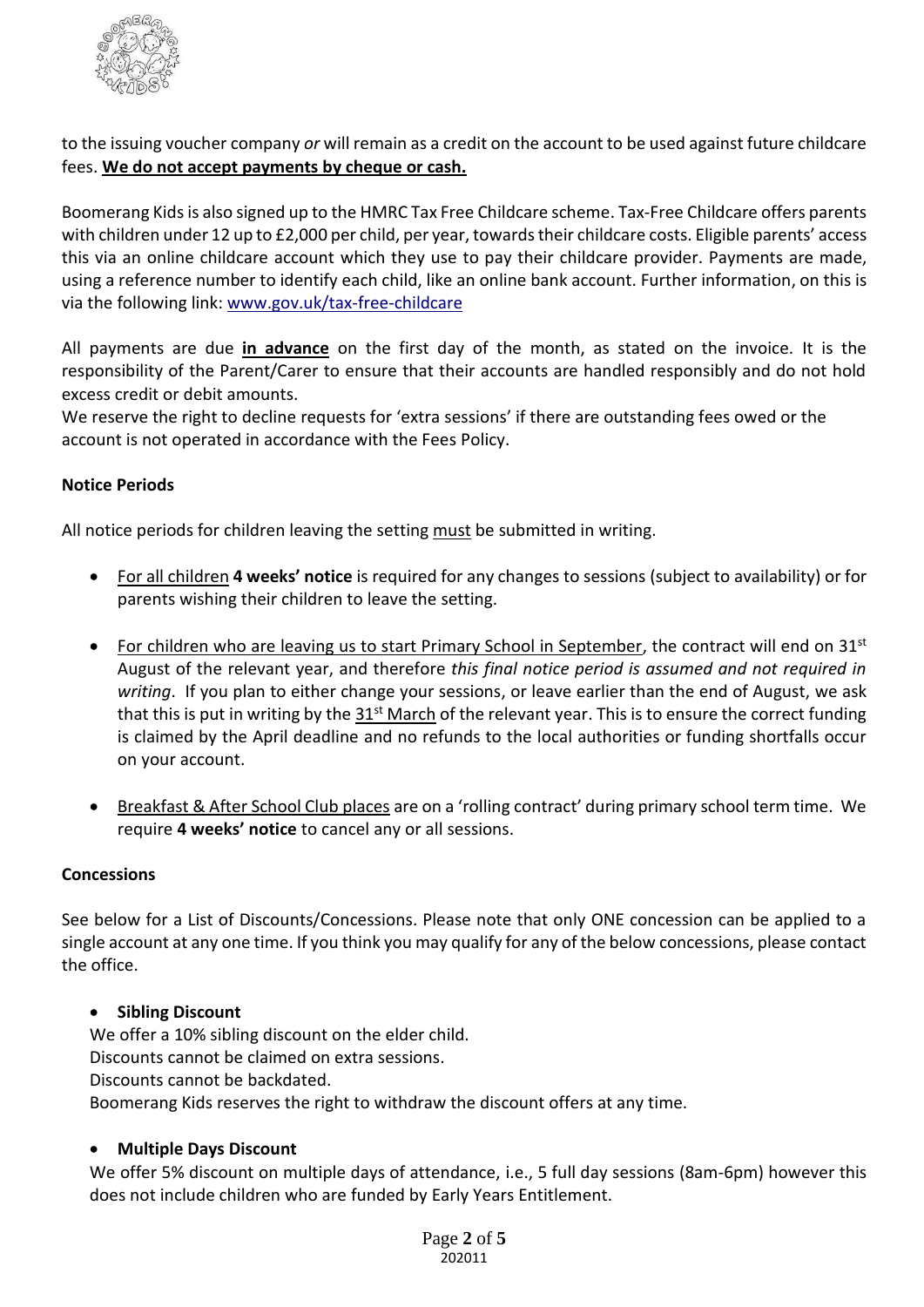

to the issuing voucher company *or* will remain as a credit on the account to be used against future childcare fees. **We do not accept payments by cheque or cash.** 

Boomerang Kids is also signed up to the HMRC Tax Free Childcare scheme. Tax-Free Childcare offers parents with children under 12 up to £2,000 per child, per year, towards their childcare costs. Eligible parents' access this via an online childcare account which they use to pay their childcare provider. Payments are made, using a reference number to identify each child, like an online bank account. Further information, on this is via the following link: [www.gov.uk/tax-free-childcare](https://www.gov.uk/tax-free-childcare)

All payments are due **in advance** on the first day of the month, as stated on the invoice. It is the responsibility of the Parent/Carer to ensure that their accounts are handled responsibly and do not hold excess credit or debit amounts.

We reserve the right to decline requests for 'extra sessions' if there are outstanding fees owed or the account is not operated in accordance with the Fees Policy.

# **Notice Periods**

All notice periods for children leaving the setting must be submitted in writing.

- For all children **4 weeks' notice** is required for any changes to sessions (subject to availability) or for parents wishing their children to leave the setting.
- For children who are leaving us to start Primary School in September, the contract will end on  $31<sup>st</sup>$ August of the relevant year, and therefore *this final notice period is assumed and not required in writing*. If you plan to either change your sessions, or leave earlier than the end of August, we ask that this is put in writing by the  $31<sup>st</sup>$  March of the relevant year. This is to ensure the correct funding is claimed by the April deadline and no refunds to the local authorities or funding shortfalls occur on your account.
- Breakfast & After School Club places are on a 'rolling contract' during primary school term time. We require **4 weeks' notice** to cancel any or all sessions.

# **Concessions**

See below for a List of Discounts/Concessions. Please note that only ONE concession can be applied to a single account at any one time. If you think you may qualify for any of the below concessions, please contact the office.

# • **Sibling Discount**

We offer a 10% sibling discount on the elder child. Discounts cannot be claimed on extra sessions. Discounts cannot be backdated. Boomerang Kids reserves the right to withdraw the discount offers at any time.

#### • **Multiple Days Discount**

We offer 5% discount on multiple days of attendance, i.e., 5 full day sessions (8am-6pm) however this does not include children who are funded by Early Years Entitlement.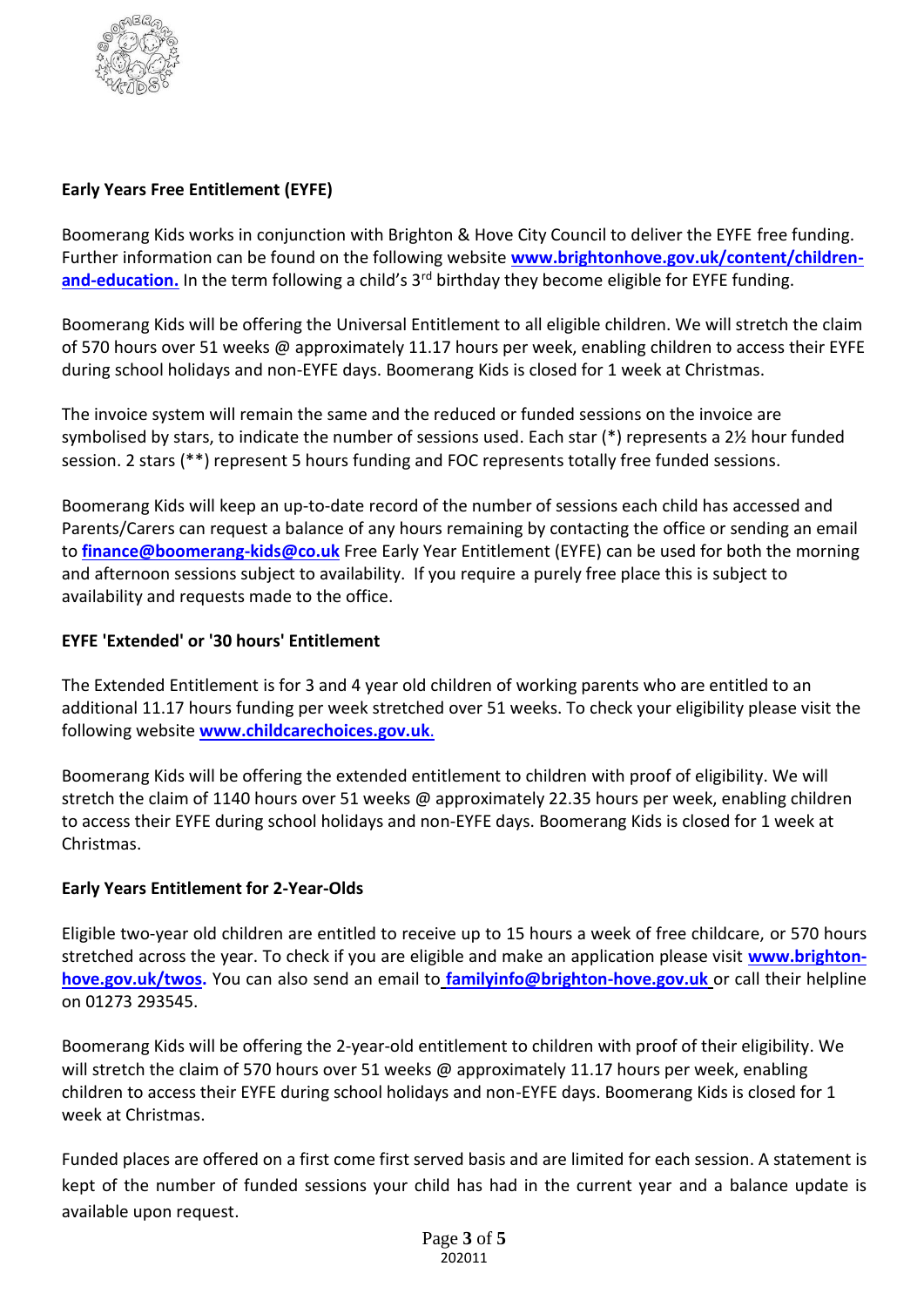

# **Early Years Free Entitlement (EYFE)**

Boomerang Kids works in conjunction with Brighton & Hove City Council to deliver the EYFE free funding. Further information can be found on the following website **[www.brightonhove.gov.uk/content/children](http://www.brightonhove.gov.uk/content/children-and-education)**[and-education.](http://www.brightonhove.gov.uk/content/children-and-education) In the term following a child's 3<sup>rd</sup> birthday they become eligible for EYFE funding.

Boomerang Kids will be offering the Universal Entitlement to all eligible children. We will stretch the claim of 570 hours over 51 weeks @ approximately 11.17 hours per week, enabling children to access their EYFE during school holidays and non-EYFE days. Boomerang Kids is closed for 1 week at Christmas.

The invoice system will remain the same and the reduced or funded sessions on the invoice are symbolised by stars, to indicate the number of sessions used. Each star (\*) represents a 2½ hour funded session. 2 stars (\*\*) represent 5 hours funding and FOC represents totally free funded sessions.

Boomerang Kids will keep an up-to-date record of the number of sessions each child has accessed and Parents/Carers can request a balance of any hours remaining by contacting the office or sending an email to **[finance@boomerang-kids@co.uk](mailto:finance@boomerang-kids@co.uk)** Free Early Year Entitlement (EYFE) can be used for both the morning and afternoon sessions subject to availability. If you require a purely free place this is subject to availability and requests made to the office.

# **EYFE 'Extended' or '30 hours' Entitlement**

The Extended Entitlement is for 3 and 4 year old [children](http://www.brighton-hove.gov.uk/sites/brighton-hove.gov.uk/files/30%20hours%20free%20childcare%20eligibility.pdf) of working parents who are entitled to an additional 11.17 hours funding per week stretched over 51 weeks. To check your eligibility please visit the following website **[www.childcarechoices.gov.uk](http://www.childcarechoices.gov.uk/)**.

Boomerang Kids will be offering the extended entitlement to children with proof of eligibility. We will stretch the claim of 1140 hours over 51 weeks @ approximately 22.35 hours per week, enabling children to access their EYFE during school holidays and non-EYFE days. Boomerang Kids is closed for 1 week at Christmas.

# **Early Years Entitlement for 2-Year-Olds**

Eligible two-year old children are entitled to receive up to 15 hours a week of free childcare, or 570 hours stretched across the year. To check if you are eligible and make an application please visit **[www.brighton](http://www.brighton-hove.gov.uk/twos)[hove.gov.uk/twos.](http://www.brighton-hove.gov.uk/twos)** You can also send an email to **[familyinfo@brighton-hove.gov.uk](mailto:familyinfo@brighton-hove.gov.uk)** or call their helpline on 01273 293545.

Boomerang Kids will be offering the 2-year-old entitlement to children with proof of their eligibility. We will stretch the claim of 570 hours over 51 weeks @ approximately 11.17 hours per week, enabling children to access their EYFE during school holidays and non-EYFE days. Boomerang Kids is closed for 1 week at Christmas.

Funded places are offered on a first come first served basis and are limited for each session. A statement is kept of the number of funded sessions your child has had in the current year and a balance update is available upon request.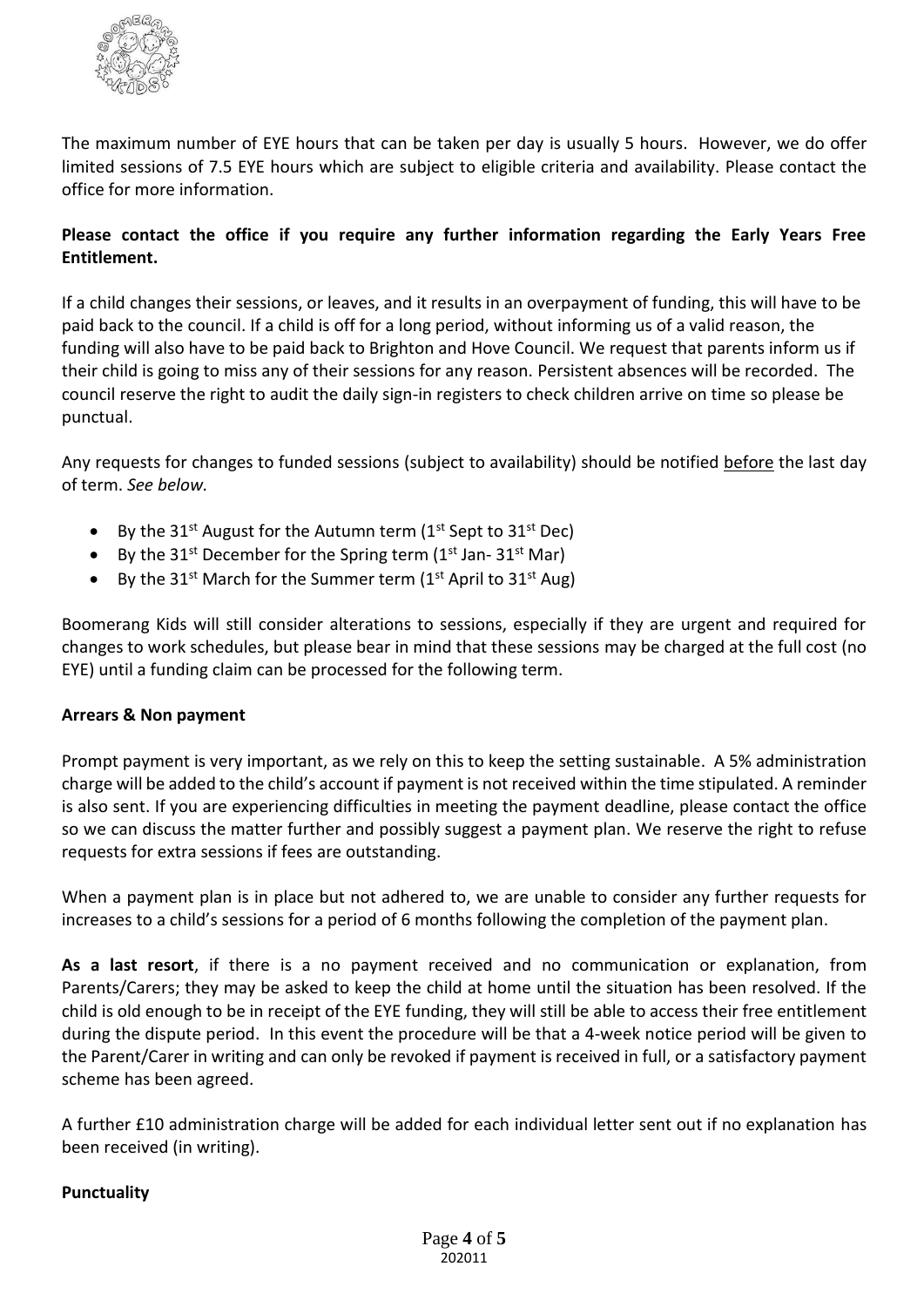

The maximum number of EYE hours that can be taken per day is usually 5 hours. However, we do offer limited sessions of 7.5 EYE hours which are subject to eligible criteria and availability. Please contact the office for more information.

# **Please contact the office if you require any further information regarding the Early Years Free Entitlement.**

If a child changes their sessions, or leaves, and it results in an overpayment of funding, this will have to be paid back to the council. If a child is off for a long period, without informing us of a valid reason, the funding will also have to be paid back to Brighton and Hove Council. We request that parents inform us if their child is going to miss any of their sessions for any reason. Persistent absences will be recorded. The council reserve the right to audit the daily sign-in registers to check children arrive on time so please be punctual.

Any requests for changes to funded sessions (subject to availability) should be notified before the last day of term. *See below.*

- By the 31<sup>st</sup> August for the Autumn term ( $1^{st}$  Sept to 31st Dec)
- By the  $31^{st}$  December for the Spring term ( $1^{st}$  Jan- $31^{st}$  Mar)
- By the 31<sup>st</sup> March for the Summer term (1<sup>st</sup> April to 31<sup>st</sup> Aug)

Boomerang Kids will still consider alterations to sessions, especially if they are urgent and required for changes to work schedules, but please bear in mind that these sessions may be charged at the full cost (no EYE) until a funding claim can be processed for the following term.

# **Arrears & Non payment**

Prompt payment is very important, as we rely on this to keep the setting sustainable. A 5% administration charge will be added to the child's account if payment is not received within the time stipulated. A reminder is also sent. If you are experiencing difficulties in meeting the payment deadline, please contact the office so we can discuss the matter further and possibly suggest a payment plan. We reserve the right to refuse requests for extra sessions if fees are outstanding.

When a payment plan is in place but not adhered to, we are unable to consider any further requests for increases to a child's sessions for a period of 6 months following the completion of the payment plan.

**As a last resort**, if there is a no payment received and no communication or explanation, from Parents/Carers; they may be asked to keep the child at home until the situation has been resolved. If the child is old enough to be in receipt of the EYE funding, they will still be able to access their free entitlement during the dispute period. In this event the procedure will be that a 4-week notice period will be given to the Parent/Carer in writing and can only be revoked if payment is received in full, or a satisfactory payment scheme has been agreed.

A further £10 administration charge will be added for each individual letter sent out if no explanation has been received (in writing).

#### **Punctuality**